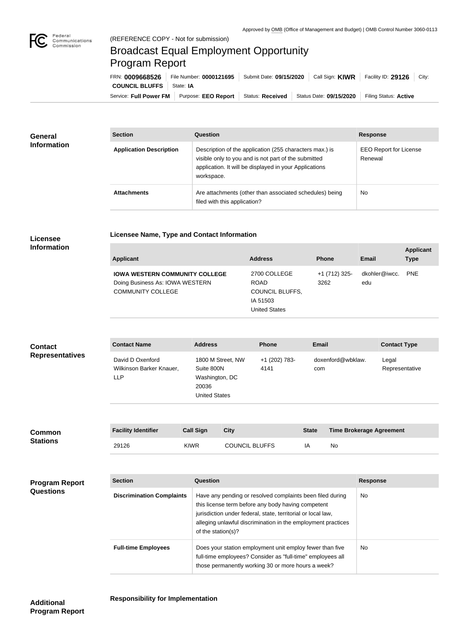

m.

## Broadcast Equal Employment Opportunity Program Report

**Licensee Name, Type and Contact Information**

| FRN: 0009668526                   | File Number: 0000121695   Submit Date: 09/15/2020   Call Sign: KIWR |  | Facility ID: 29126 City: |
|-----------------------------------|---------------------------------------------------------------------|--|--------------------------|
| <b>COUNCIL BLUFFS</b>   State: IA |                                                                     |  |                          |
| Service: Full Power FM            | Purpose: EEO Report   Status: Received   Status Date: 09/15/2020    |  | Filing Status: Active    |

| <b>General</b><br><b>Information</b> | <b>Section</b>                 | <b>Question</b>                                                                                                                                                                         | <b>Response</b>                          |
|--------------------------------------|--------------------------------|-----------------------------------------------------------------------------------------------------------------------------------------------------------------------------------------|------------------------------------------|
|                                      | <b>Application Description</b> | Description of the application (255 characters max.) is<br>visible only to you and is not part of the submitted<br>application. It will be displayed in your Applications<br>workspace. | <b>EEO Report for License</b><br>Renewal |
|                                      | <b>Attachments</b>             | Are attachments (other than associated schedules) being<br>filed with this application?                                                                                                 | <b>No</b>                                |

## **Licensee Information**

| Applicant                                                                                            | <b>Address</b>                                                                            | <b>Phone</b>          | <b>Email</b>         | <b>Applicant</b><br><b>Type</b> |
|------------------------------------------------------------------------------------------------------|-------------------------------------------------------------------------------------------|-----------------------|----------------------|---------------------------------|
| <b>IOWA WESTERN COMMUNITY COLLEGE</b><br>Doing Business As: IOWA WESTERN<br><b>COMMUNITY COLLEGE</b> | 2700 COLLEGE<br><b>ROAD</b><br><b>COUNCIL BLUFFS,</b><br>IA 51503<br><b>United States</b> | +1 (712) 325-<br>3262 | dkohler@iwcc.<br>edu | <b>PNE</b>                      |

| <b>Representatives</b><br>David D Oxenford<br>1800 M Street, NW<br>doxenford@wbklaw.<br>+1 (202) 783-<br>Legal<br>Wilkinson Barker Knauer,<br>Suite 800N<br>4141<br>Representative<br>com<br>Washington, DC<br><b>LLP</b><br>20036<br><b>United States</b> | <b>Contact</b> | <b>Contact Name</b> | <b>Address</b> | <b>Phone</b> | <b>Email</b> | <b>Contact Type</b> |
|------------------------------------------------------------------------------------------------------------------------------------------------------------------------------------------------------------------------------------------------------------|----------------|---------------------|----------------|--------------|--------------|---------------------|
|                                                                                                                                                                                                                                                            |                |                     |                |              |              |                     |

| <b>Common</b>   | <b>Facility Identifier</b> | <b>Call Sign</b> | <b>City</b>           | <b>State</b> | <b>Time Brokerage Agreement</b> |
|-----------------|----------------------------|------------------|-----------------------|--------------|---------------------------------|
| <b>Stations</b> | 29126                      | <b>KIWR</b>      | <b>COUNCIL BLUFFS</b> | IΑ           | No                              |
|                 |                            |                  |                       |              |                                 |

| <b>Program Report</b><br><b>Questions</b> | <b>Section</b>                   | Question                                                                                                                                                                                                                                                              | <b>Response</b> |
|-------------------------------------------|----------------------------------|-----------------------------------------------------------------------------------------------------------------------------------------------------------------------------------------------------------------------------------------------------------------------|-----------------|
|                                           | <b>Discrimination Complaints</b> | Have any pending or resolved complaints been filed during<br>this license term before any body having competent<br>jurisdiction under federal, state, territorial or local law,<br>alleging unlawful discrimination in the employment practices<br>of the station(s)? | <b>No</b>       |
|                                           | <b>Full-time Employees</b>       | Does your station employment unit employ fewer than five<br>full-time employees? Consider as "full-time" employees all<br>those permanently working 30 or more hours a week?                                                                                          | <b>No</b>       |